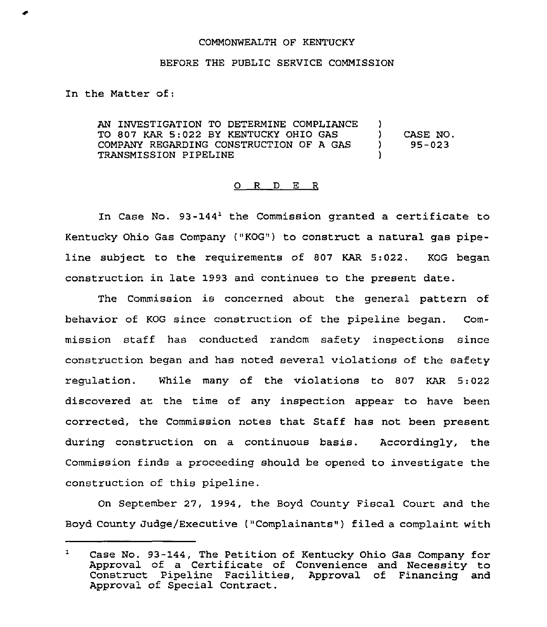## COMMONWEALTH OF KENTUCKY

## BEFORE THE PUBLIC SERVICE COMMISSION

In the Matter of:

AN INVESTIGATION TO DETERMINE COMPLIANCE )<br>TO 807 KAR 5:022 BY KENTUCKY OHIO GAS TO 807 KAR 5:022 BY KENTUCKY OHIO GAS (CASE NO.<br>COMPANY REGARDING CONSTRUCTION OF A GAS (95-023) COMPANY REGARDING CONSTRUCTION OF A GAS TRANSMISSION PIPELINE )

## 0 R <sup>D</sup> E R

In Case No.  $93-144<sup>1</sup>$  the Commission granted a certificate to Kentucky Ohio Gas Company ("KOG") to construct a natural gas pipeline subject to the requirements of 807 KAR 5:022. KOG began construction in late 1993 and continues to the present date.

The Commission is concerned about the general pattern of behavior of KOG since construction of the pipeline began, Commission staff has conducted random safety inspections since construction began and has noted several violations of the safety regulation. While many of the violations to 807 KAR 5:022 discovered at the time of any inspection appear to have been corrected, the Commission notes that Staff has not been present during construction on a continuous basis. Accordingly, the Commission finds a proceeding should be opened to investigate the construction of this pipeline.

On September 27, 1994, the Boyd County Fiscal Court and the Boyd County Judge/Executive ("Complainants") filed a complaint with

 $\mathbf{1}$ Case No. 93-144, The Petition of Kentucky Ohio Gas Company for Approval of a Certificate of Convenience and Necessity to Construct Pipeline Facilities, Approval of Financing and Approval of Special Contract.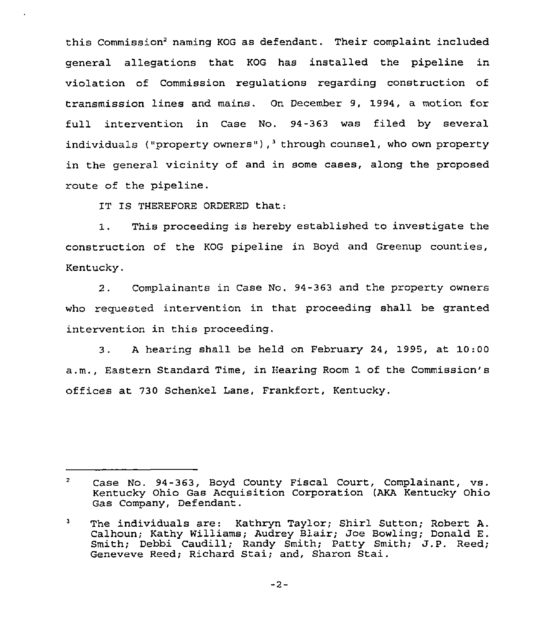this Commission<sup>2</sup> naming KOG as defendant. Their complaint included general allegations that KOG has installed the pipeline in violation of Commission regulations regarding construction of transmission lines and mains. On December 9, 1994, a motion for full intervention in Case No. 94-363 was filed by several individuals ("property owners"), through counsel, who own property in the general vicinity of and in some cases, along the proposed route of the pipeline.

IT IS THEREFORE ORDERED that:

1. This proceeding is hereby established to investigate the construction of the KOG pipeline in Boyd and Greenup counties, Kentucky.

2. Complainants in Case No. 94-363 and the property owners who requested intervention in that proceeding shall be granted intervention in this proceeding.

3. <sup>A</sup> hearing shall be held on February 24, 1995, at 10:00 a.m., Eastern Standard Time, in Hearing Room 1 of the Commission's offices at 730 Schenkel Lane, Frankfort, Kentucky.

 $\overline{2}$ Case No. 94-363, Boyd County Fiscal Court, Complainant, vs. Kentucky Ohio Gas Acquisition Corporation (AKA Kentucky Ohio Gas Company, Defendant.

 $3<sub>1</sub>$ The individuals are: Kathryn Taylor; Shirl Sutton; Robert A. Calhoun; Kathy Williams; Audrey Blair; Joe Bowling; Donald E. Smith; Debbi Caudill; Randy Smith; Patty Smith; J.P. Reed; Geneveve Reed; Richard Stai; and, Sharon Stai.